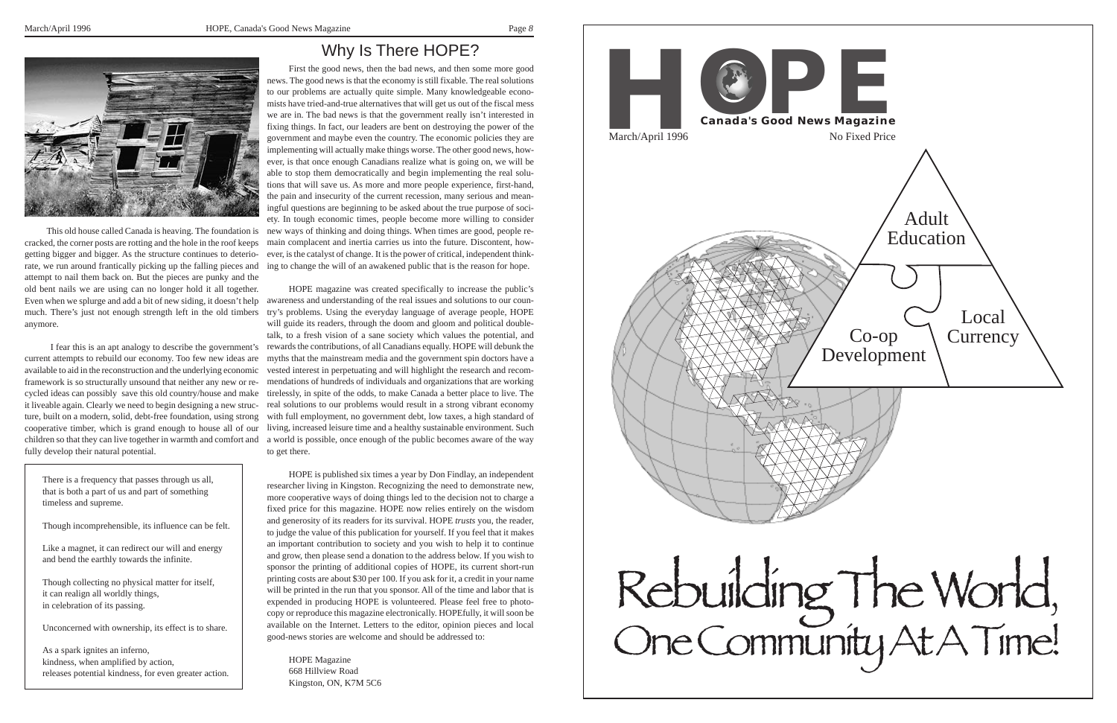*8*





First the good news, then the bad news, and then some more good news. The good news is that the economy is still fixable. The real solutions to our problems are actually quite simple. Many knowledgeable economists have tried-and-true alternatives that will get us out of the fiscal mess we are in. The bad news is that the government really isn't interested in fixing things. In fact, our leaders are bent on destroying the power of the government and maybe even the country. The economic policies they are implementing will actually make things worse. The other good news, however, is that once enough Canadians realize what is going on, we will be able to stop them democratically and begin implementing the real solutions that will save us. As more and more people experience, first-hand, the pain and insecurity of the current recession, many serious and meaningful questions are beginning to be asked about the true purpose of society. In tough economic times, people become more willing to consider new ways of thinking and doing things. When times are good, people remain complacent and inertia carries us into the future. Discontent, however, is the catalyst of change. It is the power of critical, independent thinking to change the will of an awakened public that is the reason for hope.

HOPE magazine was created specifically to increase the public's awareness and understanding of the real issues and solutions to our counmuch. There's just not enough strength left in the old timbers try's problems. Using the everyday language of average people, HOPE will guide its readers, through the doom and gloom and political doubletalk, to a fresh vision of a sane society which values the potential, and rewards the contributions, of all Canadians equally. HOPE will debunk the myths that the mainstream media and the government spin doctors have a available to aid in the reconstruction and the underlying economic vested interest in perpetuating and will highlight the research and recomframework is so structurally unsound that neither any new or re- mendations of hundreds of individuals and organizations that are working cycled ideas can possibly save this old country/house and make tirelessly, in spite of the odds, to make Canada a better place to live. The real solutions to our problems would result in a strong vibrant economy with full employment, no government debt, low taxes, a high standard of cooperative timber, which is grand enough to house all of our living, increased leisure time and a healthy sustainable environment. Such a world is possible, once enough of the public becomes aware of the way to get there.

> HOPE is published six times a year by Don Findlay, an independent researcher living in Kingston. Recognizing the need to demonstrate new, more cooperative ways of doing things led to the decision not to charge a fixed price for this magazine. HOPE now relies entirely on the wisdom and generosity of its readers for its survival. HOPE *trusts* you, the reader, to judge the value of this publication for yourself. If you feel that it makes an important contribution to society and you wish to help it to continue and grow, then please send a donation to the address below. If you wish to sponsor the printing of additional copies of HOPE, its current short-run printing costs are about \$30 per 100. If you ask for it, a credit in your name will be printed in the run that you sponsor. All of the time and labor that is expended in producing HOPE is volunteered. Please feel free to photocopy or reproduce this magazine electronically. HOPEfully, it will soon be available on the Internet. Letters to the editor, opinion pieces and local good-news stories are welcome and should be addressed to:

HOPE Magazine 668 Hillview Road Kingston, ON, K7M 5C6

This old house called Canada is heaving. The foundation is cracked, the corner posts are rotting and the hole in the roof keeps getting bigger and bigger. As the structure continues to deteriorate, we run around frantically picking up the falling pieces and attempt to nail them back on. But the pieces are punky and the old bent nails we are using can no longer hold it all together. Even when we splurge and add a bit of new siding, it doesn't help anymore.

I fear this is an apt analogy to describe the government's current attempts to rebuild our economy. Too few new ideas are it liveable again. Clearly we need to begin designing a new structure, built on a modern, solid, debt-free foundation, using strong children so that they can live together in warmth and comfort and fully develop their natural potential.

There is a frequency that passes through us all, that is both a part of us and part of something timeless and supreme.

Though incomprehensible, its influence can be felt.

Like a magnet, it can redirect our will and energy and bend the earthly towards the infinite.

Though collecting no physical matter for itself, it can realign all worldly things, in celebration of its passing.

Unconcerned with ownership, its effect is to share.

As a spark ignites an inferno, kindness, when amplified by action, releases potential kindness, for even greater action.



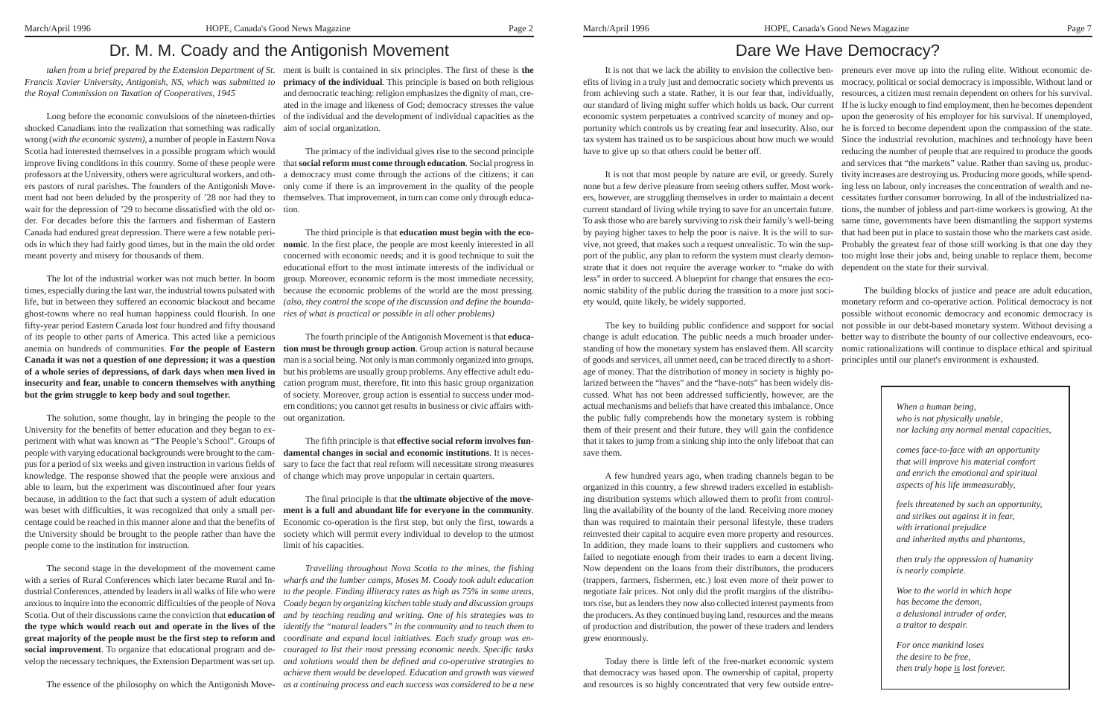*Francis Xavier University, Antigonish, NS, which was submitted to* **primacy of the individual**. This principle is based on both religious *the Royal Commission on Taxation of Cooperatives, 1945*

Long before the economic convulsions of the nineteen-thirties shocked Canadians into the realization that something was radically wrong (*with the economic system)*, a number of people in Eastern Nova Scotia had interested themselves in a possible program which would improve living conditions in this country. Some of these people were that **social reform must come through education**. Social progress in professors at the University, others were agricultural workers, and oth-a democracy must come through the actions of the citizens; it can ers pastors of rural parishes. The founders of the Antigonish Movement had not been deluded by the prosperity of '28 nor had they to themselves. That improvement, in turn can come only through educawait for the depression of '29 to become dissatisfied with the old or-tion. der. For decades before this the farmers and fisherman of Eastern Canada had endured great depression. There were a few notable periods in which they had fairly good times, but in the main the old order **nomic**. In the first place, the people are most keenly interested in all meant poverty and misery for thousands of them.

The lot of the industrial worker was not much better. In boom times, especially during the last war, the industrial towns pulsated with life, but in between they suffered an economic blackout and became ghost-towns where no real human happiness could flourish. In one *ries of what is practical or possible in all other problems)* fifty-year period Eastern Canada lost four hundred and fifty thousand of its people to other parts of America. This acted like a pernicious anemia on hundreds of communities. **For the people of Eastern tion must be through group action**. Group action is natural because **Canada it was not a question of one depression; it was a question of a whole series of depressions, of dark days when men lived in** but his problems are usually group problems. Any effective adult edu **insecurity and fear, unable to concern themselves with anything** cation program must, therefore, fit into this basic group organization **but the grim struggle to keep body and soul together.**

*taken from a brief prepared by the Extension Department of St.* ment is built is contained in six principles. The first of these is **the** and democratic teaching: religion emphasizes the dignity of man, cre ated in the image and likeness of God; democracy stresses the value of the individual and the development of individual capacities as the aim of social organization.

> om group. Moreover, economic reform is the most immediate necessity,<br>with shecause the economic problems of the world are the most pressing The third principle is that **education must begin with the eco** concerned with economic needs; and it is good technique to suit the educational effort to the most intimate interests of the individual or because the economic problems of the world are the most pressing. *(also, they control the scope of the discussion and define the bounda-*

The solution, some thought, lay in bringing the people to the out organization. University for the benefits of better education and they began to experiment with what was known as "The People's School". Groups of people with varying educational backgrounds were brought to the campus for a period of six weeks and given instruction in various fields of knowledge. The response showed that the people were anxious and of change which may prove unpopular in certain quarters. able to learn, but the experiment was discontinued after four years because, in addition to the fact that such a system of adult education was beset with difficulties, it was recognized that only a small percentage could be reached in this manner alone and that the benefits of the University should be brought to the people rather than have the people come to the institution for instruction.

The essence of the philosophy on which the Antigonish Move- as a continuing process and each success was considered to be a new *Travelling throughout Nova Scotia to the mines, the fishing wharfs and the lumber camps, Moses M. Coady took adult education to the people. Finding illiteracy rates as high as 75% in some areas, Coady began by organizing kitchen table study and discussion groups and by teaching reading and writing. One of his strategies was to identify the "natural leaders" in the community and to teach them to coordinate and expand local initiatives. Each study group was en achieve them would be developed. Education and growth was viewed*

A Philip China (Fig. 1). The state is the state of the state of the state is the state of the state is the state of the state of the state is the state of the state is the state of the state of the state is the state of t

# Dr. M. M. Coady and the Antigonish Movement

The primacy of the individual gives rise to the second principle only come if there is an improvement in the quality of the people

The second stage in the development of the movement came with a series of Rural Conferences which later became Rural and Industrial Conferences, attended by leaders in all walks of life who were anxious to inquire into the economic difficulties of the people of Nova Scotia. Out of their discussions came the conviction that **education of the type which would reach out and operate in the lives of the great majority of the people must be the first step to reform and social improvement**. To organize that educational program and de-*couraged to list their most pressing economic needs. Specific tasks* velop the necessary techniques, the Extension Department was set up. *and solutions would then be defined and co-operative strategies to*

The fourth principle of the Antigonish Movement is that **educa** man is a social being. Not only is man commonly organized into groups, of society. Moreover, group action is essential to success under mod ern conditions; you cannot get results in business or civic affairs with-

The fifth principle is that **effective social reform involves fun damental changes in social and economic institutions**. It is neces sary to face the fact that real reform will necessitate strong measures

The final principle is that **the ultimate objective of the move ment is a full and abundant life for everyone in the community**. Economic co-operation is the first step, but only the first, towards a society which will permit every individual to develop to the utmost limit of his capacities.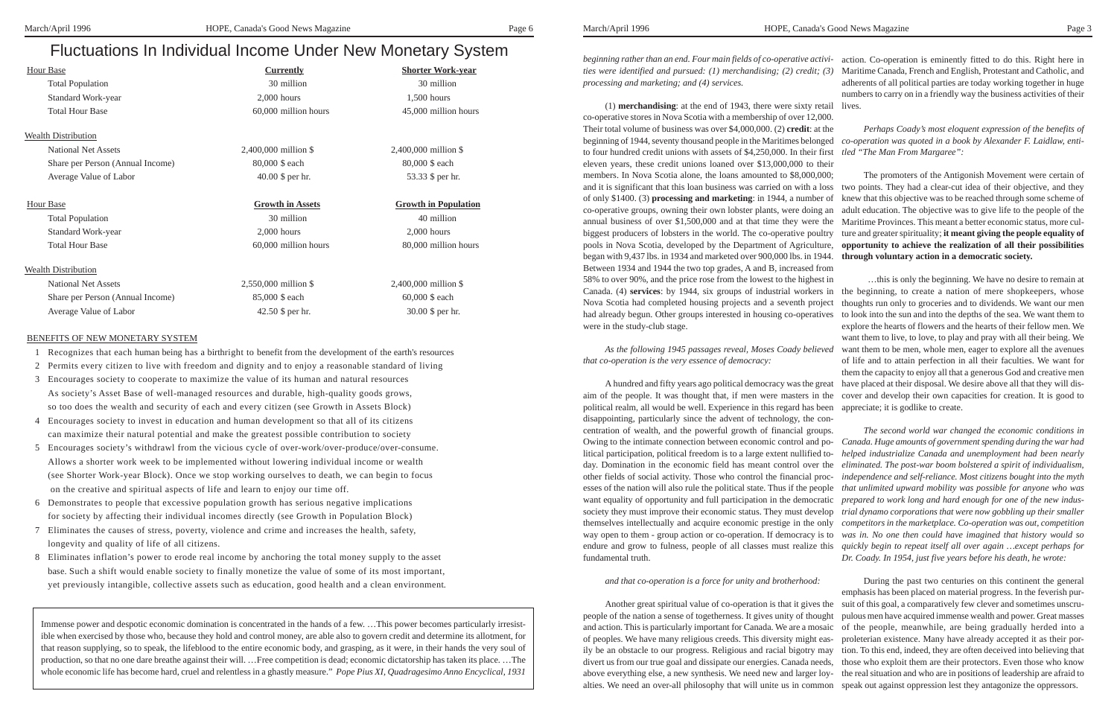*beginning rather than an end. Four main fields of co-operative activi-*action. Co-operation is eminently fitted to do this. Right here in *ties were identified and pursued: (1) merchandising; (2) credit; (3)* Maritime Canada, French and English, Protestant and Catholic, and *processing and marketing; and (4) services.* (1) **merchandising**: at the end of 1943, there were sixty retail lives. adherents of all political parties are today working together in huge numbers to carry on in a friendly way the business activities of their

co-operative stores in Nova Scotia with a membership of over 12,000. Their total volume of business was over \$4,000,000. (2) **credit**: at the beginning of 1944, seventy thousand people in the Maritimes belonged *co-operation was quoted in a book by Alexander F. Laidlaw, enti*to four hundred credit unions with assets of \$4,250,000. In their first *tled "The Man From Margaree":* eleven years, these credit unions loaned over \$13,000,000 to their members. In Nova Scotia alone, the loans amounted to \$8,000,000; and it is significant that this loan business was carried on with a loss two points. They had a clear-cut idea of their objective, and they of only \$1400. (3) **processing and marketing**: in 1944, a number of co-operative groups, owning their own lobster plants, were doing an annual business of over \$1,500,000 and at that time they were the biggest producers of lobsters in the world. The co-operative poultry pools in Nova Scotia, developed by the Department of Agriculture, **opportunity to achieve the realization of all their possibilities** began with 9,437 lbs. in 1934 and marketed over 900,000 lbs. in 1944. Between 1934 and 1944 the two top grades, A and B, increased from 58% to over 90%, and the price rose from the lowest to the highest in Canada. (4) services: by 1944, six groups of industrial workers in the beginning, to create a nation of mere shopkeepers, whose Nova Scotia had completed housing projects and a seventh project had already begun. Other groups interested in housing co-operatives to look into the sun and into the depths of the sea. We want them to were in the study-club stage. *Perhaps Coady's most eloquent expression of the benefits of* The promoters of the Antigonish Movement were certain of knew that this objective was to be reached through some scheme of adult education. The objective was to give life to the people of the Maritime Provinces. This meant a better economic status, more culture and greater spirituality; **it meant giving the people equality of through voluntary action in a democratic society.** …this is only the beginning. We have no desire to remain at thoughts run only to groceries and to dividends. We want our men explore the hearts of flowers and the hearts of their fellow men. We

## *and that co-operation is a force for unity and brotherhood:*

*As the following 1945 passages reveal, Moses Coady believed that co-operation is the very essence of democracy:* A hundred and fifty years ago political democracy was the great want them to live, to love, to play and pray with all their being. We want them to be men, whole men, eager to explore all the avenues of life and to attain perfection in all their faculties. We want for them the capacity to enjoy all that a generous God and creative men have placed at their disposal. We desire above all that they will dis-

aim of the people. It was thought that, if men were masters in the cover and develop their own capacities for creation. It is good to political realm, all would be well. Experience in this regard has been appreciate; it is godlike to create. disappointing, particularly since the advent of technology, the concentration of wealth, and the powerful growth of financial groups. Owing to the intimate connection between economic control and political participation, political freedom is to a large extent nullified today. Domination in the economic field has meant control over the other fields of social activity. Those who control the financial processes of the nation will also rule the political state. Thus if the people want equality of opportunity and full participation in the democratic society they must improve their economic status. They must develop themselves intellectually and acquire economic prestige in the only way open to them - group action or co-operation. If democracy is to endure and grow to fulness, people of all classes must realize this fundamental truth. *The second world war changed the economic conditions in Canada. Huge amounts of government spending during the war had helped industrialize Canada and unemployment had been nearly eliminated. The post-war boom bolstered a spirit of individualism, independence and self-reliance. Most citizens bought into the myth that unlimited upward mobility was possible for anyone who was prepared to work long and hard enough for one of the new industrial dynamo corporations that were now gobbling up their smaller competitors in the marketplace. Co-operation was out, competition was in. No one then could have imagined that history would so quickly begin to repeat itself all over again …except perhaps for Dr. Coady. In 1954, just five years before his death, he wrote:*

Another great spiritual value of co-operation is that it gives the people of the nation a sense of togetherness. It gives unity of thought and action. This is particularly important for Canada. We are a mosaic of the people, meanwhile, are being gradually herded into a of peoples. We have many religious creeds. This diversity might easily be an obstacle to our progress. Religious and racial bigotry may divert us from our true goal and dissipate our energies. Canada needs, above everything else, a new synthesis. We need new and larger loyalties. We need an over-all philosophy that will unite us in common speak out against oppression lest they antagonize the oppressors. During the past two centuries on this continent the general emphasis has been placed on material progress. In the feverish pursuit of this goal, a comparatively few clever and sometimes unscrupulous men have acquired immense wealth and power. Great masses proleterian existence. Many have already accepted it as their portion. To this end, indeed, they are often deceived into believing that those who exploit them are their protectors. Even those who know the real situation and who are in positions of leadership are afraid to

## Fluctuations In Individual Income Under New Monetary System

| <b>Hour Base</b>                 | <b>Currently</b>        | <b>Shorter Work-year</b>    |
|----------------------------------|-------------------------|-----------------------------|
| <b>Total Population</b>          | 30 million              | 30 million                  |
| Standard Work-year               | $2,000$ hours           | 1,500 hours                 |
| <b>Total Hour Base</b>           | 60,000 million hours    | 45,000 million hours        |
| <b>Wealth Distribution</b>       |                         |                             |
| <b>National Net Assets</b>       | 2,400,000 million \$    | $2,400,000$ million \$      |
| Share per Person (Annual Income) | 80,000 \$ each          | 80,000 \$ each              |
| Average Value of Labor           | 40.00 \$ per hr.        | 53.33 \$ per hr.            |
| <b>Hour Base</b>                 | <b>Growth in Assets</b> | <b>Growth in Population</b> |
| <b>Total Population</b>          | 30 million              | 40 million                  |
| Standard Work-year               | $2,000$ hours           | $2,000$ hours               |
| <b>Total Hour Base</b>           | 60,000 million hours    | 80,000 million hours        |
| <b>Wealth Distribution</b>       |                         |                             |
| <b>National Net Assets</b>       | 2,550,000 million \$    | 2,400,000 million \$        |
| Share per Person (Annual Income) | 85,000 \$ each          | 60,000 \$ each              |
| Average Value of Labor           | 42.50 \$ per hr.        | 30.00 \$ per hr.            |

## BENEFITS OF NEW MONETARY SYSTEM

- 1 Recognizes that each human being has a birthright to benefit from the development of the earth's resources
- 2 Permits every citizen to live with freedom and dignity and to enjoy a reasonable standard of living
- 3 Encourages society to cooperate to maximize the value of its human and natural resources As society's Asset Base of well-managed resources and durable, high-quality goods grows, so too does the wealth and security of each and every citizen (see Growth in Assets Block)
- 4 Encourages society to invest in education and human development so that all of its citizens can maximize their natural potential and make the greatest possible contribution to society
- 5 Encourages society's withdrawl from the vicious cycle of over-work/over-produce/over-consume. Allows a shorter work week to be implemented without lowering individual income or wealth (see Shorter Work-year Block). Once we stop working ourselves to death, we can begin to focus on the creative and spiritual aspects of life and learn to enjoy our time off.
- 6 Demonstrates to people that excessive population growth has serious negative implications for society by affecting their individual incomes directly (see Growth in Population Block)
- 7 Eliminates the causes of stress, poverty, violence and crime and increases the health, safety, longevity and quality of life of all citizens.
- 8 Eliminates inflation's power to erode real income by anchoring the total money supply to the asset base. Such a shift would enable society to finally monetize the value of some of its most important, yet previously intangible, collective assets such as education, good health and a clean environment.

Immense power and despotic economic domination is concentrated in the hands of a few. …This power becomes particularly irresistible when exercised by those who, because they hold and control money, are able also to govern credit and determine its allotment, for that reason supplying, so to speak, the lifeblood to the entire economic body, and grasping, as it were, in their hands the very soul of production, so that no one dare breathe against their will. …Free competition is dead; economic dictatorship has taken its place. …The whole economic life has become hard, cruel and relentless in a ghastly measure." *Pope Pius XI, Quadragesimo Anno Encyclical, 1931*